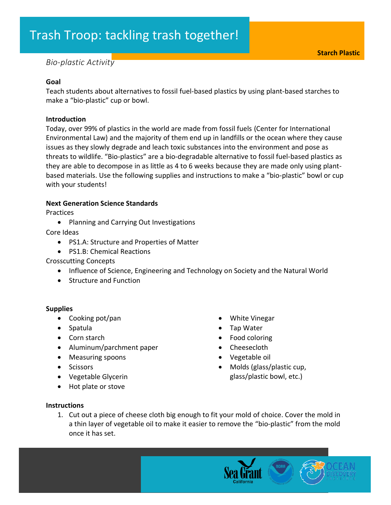# Trash Troop: tackling trash together!

# *Bio-plastic Activity*

#### **Goal**

Teach students about alternatives to fossil fuel-based plastics by using plant-based starches to make a "bio-plastic" cup or bowl.

#### **Introduction**

Today, over 99% of plastics in the world are made from fossil fuels (Center for International Environmental Law) and the majority of them end up in landfills or the ocean where they cause issues as they slowly degrade and leach toxic substances into the environment and pose as threats to wildlife. "Bio-plastics" are a bio-degradable alternative to fossil fuel-based plastics as they are able to decompose in as little as 4 to 6 weeks because they are made only using plantbased materials. Use the following supplies and instructions to make a "bio-plastic" bowl or cup with your students!

#### **Next Generation Science Standards**

**Practices** 

• Planning and Carrying Out Investigations

Core Ideas

- PS1.A: Structure and Properties of Matter
- PS1.B: Chemical Reactions

Crosscutting Concepts

- Influence of Science, Engineering and Technology on Society and the Natural World
- Structure and Function

# **Supplies**

- Cooking pot/pan
- Spatula
- Corn starch
- Aluminum/parchment paper
- Measuring spoons
- Scissors
- Vegetable Glycerin
- Hot plate or stove
- White Vinegar
- Tap Water
- Food coloring
- Cheesecloth
- Vegetable oil
- Molds (glass/plastic cup, glass/plastic bowl, etc.)

#### **Instructions**

1. Cut out a piece of cheese cloth big enough to fit your mold of choice. Cover the mold in a thin layer of vegetable oil to make it easier to remove the "bio-plastic" from the mold once it has set.